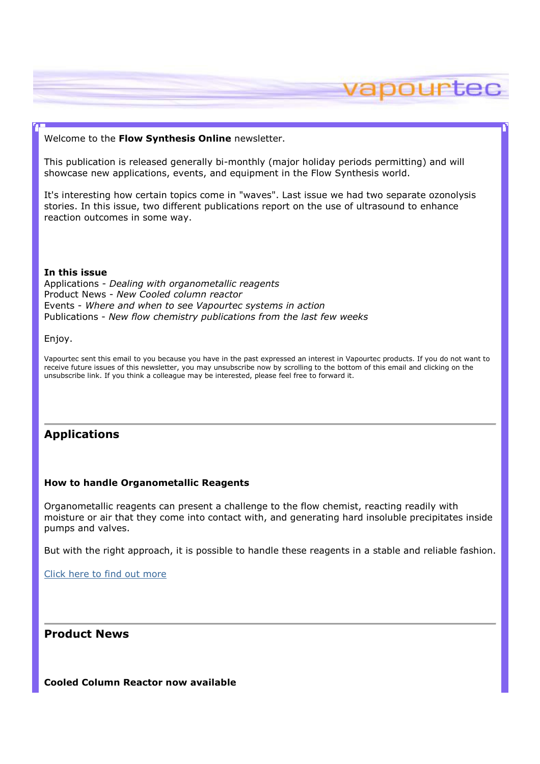### Welcome to the Flow Synthesis Online newsletter.

This publication is released generally bi-monthly (major holiday periods permitting) and will showcase new applications, events, and equipment in the Flow Synthesis world.

vapourtec

It's interesting how certain topics come in "waves". Last issue we had two separate ozonolysis stories. In this issue, two different publications report on the use of ultrasound to enhance reaction outcomes in some way.

#### In this issue

Applications - Dealing with organometallic reagents Product News - New Cooled column reactor Events - Where and when to see Vapourtec systems in action Publications - New flow chemistry publications from the last few weeks

Enjoy.

Vapourtec sent this email to you because you have in the past expressed an interest in Vapourtec products. If you do not want to receive future issues of this newsletter, you may unsubscribe now by scrolling to the bottom of this email and clicking on the unsubscribe link. If you think a colleague may be interested, please feel free to forward it.

# Applications

### How to handle Organometallic Reagents

Organometallic reagents can present a challenge to the flow chemist, reacting readily with moisture or air that they come into contact with, and generating hard insoluble precipitates inside pumps and valves.

But with the right approach, it is possible to handle these reagents in a stable and reliable fashion.

Click here to find out more

Product News

Cooled Column Reactor now available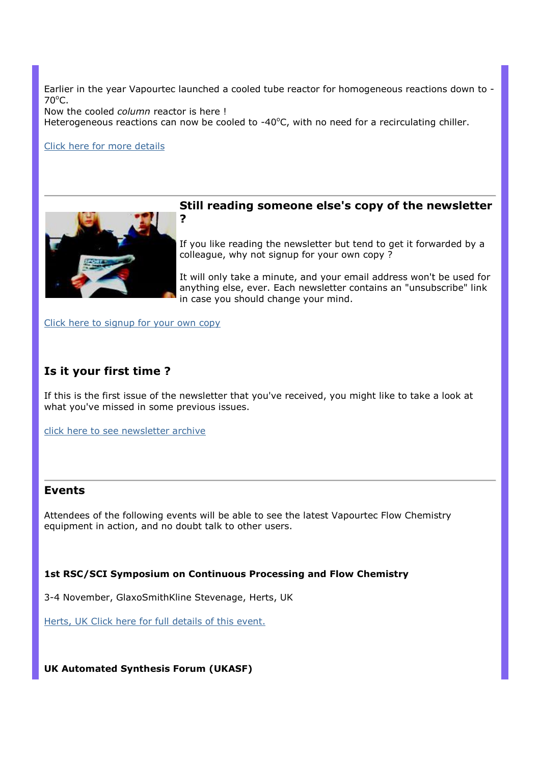Earlier in the year Vapourtec launched a cooled tube reactor for homogeneous reactions down to -  $70^{\circ}$ C.

Now the cooled column reactor is here !

?

Heterogeneous reactions can now be cooled to -40 $^{\circ}$ C, with no need for a recirculating chiller.

Click here for more details



# Still reading someone else's copy of the newsletter

If you like reading the newsletter but tend to get it forwarded by a colleague, why not signup for your own copy ?

It will only take a minute, and your email address won't be used for anything else, ever. Each newsletter contains an "unsubscribe" link in case you should change your mind.

Click here to signup for your own copy

# Is it your first time ?

If this is the first issue of the newsletter that you've received, you might like to take a look at what you've missed in some previous issues.

click here to see newsletter archive

## Events

Attendees of the following events will be able to see the latest Vapourtec Flow Chemistry equipment in action, and no doubt talk to other users.

### 1st RSC/SCI Symposium on Continuous Processing and Flow Chemistry

3-4 November, GlaxoSmithKline Stevenage, Herts, UK

Herts, UK Click here for full details of this event.

UK Automated Synthesis Forum (UKASF)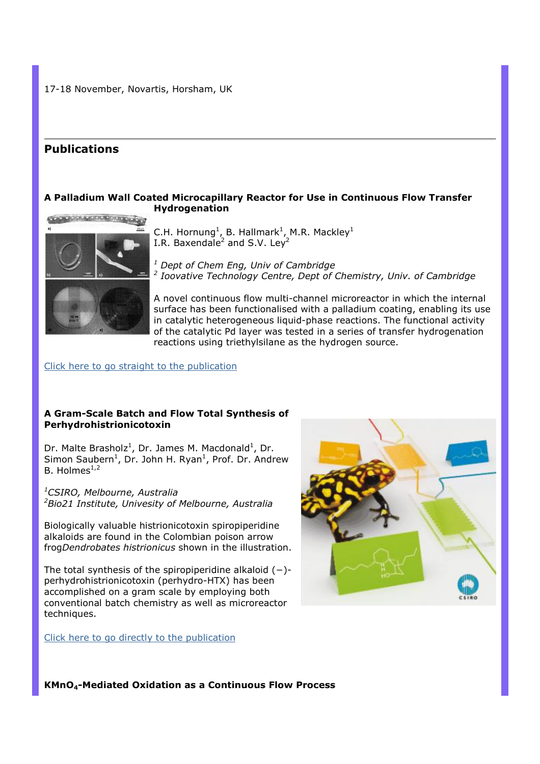17-18 November, Novartis, Horsham, UK

# Publications

## A Palladium Wall Coated Microcapillary Reactor for Use in Continuous Flow Transfer Hydrogenation



C.H. Hornung<sup>1</sup>, B. Hallmark<sup>1</sup>, M.R. Mackley<sup>1</sup> I.R. Baxendale<sup>2</sup> and S.V. Ley<sup>2</sup>

 $<sup>1</sup>$  Dept of Chem Eng, Univ of Cambridge</sup> <sup>2</sup> Ioovative Technology Centre, Dept of Chemistry, Univ. of Cambridge

A novel continuous flow multi-channel microreactor in which the internal surface has been functionalised with a palladium coating, enabling its use in catalytic heterogeneous liquid-phase reactions. The functional activity of the catalytic Pd layer was tested in a series of transfer hydrogenation reactions using triethylsilane as the hydrogen source.

#### Click here to go straight to the publication

#### A Gram-Scale Batch and Flow Total Synthesis of Perhydrohistrionicotoxin

Dr. Malte Brasholz<sup>1</sup>, Dr. James M. Macdonald<sup>1</sup>, Dr. Simon Saubern<sup>1</sup>, Dr. John H. Ryan<sup>1</sup>, Prof. Dr. Andrew B. Holmes $^{1,2}$ 

<sup>1</sup>CSIRO, Melbourne, Australia <sup>2</sup>Bio21 Institute, Univesity of Melbourne, Australia

Biologically valuable histrionicotoxin spiropiperidine alkaloids are found in the Colombian poison arrow frogDendrobates histrionicus shown in the illustration.

The total synthesis of the spiropiperidine alkaloid (−) perhydrohistrionicotoxin (perhydro-HTX) has been accomplished on a gram scale by employing both conventional batch chemistry as well as microreactor techniques.

Click here to go directly to the publication



KMnO4-Mediated Oxidation as a Continuous Flow Process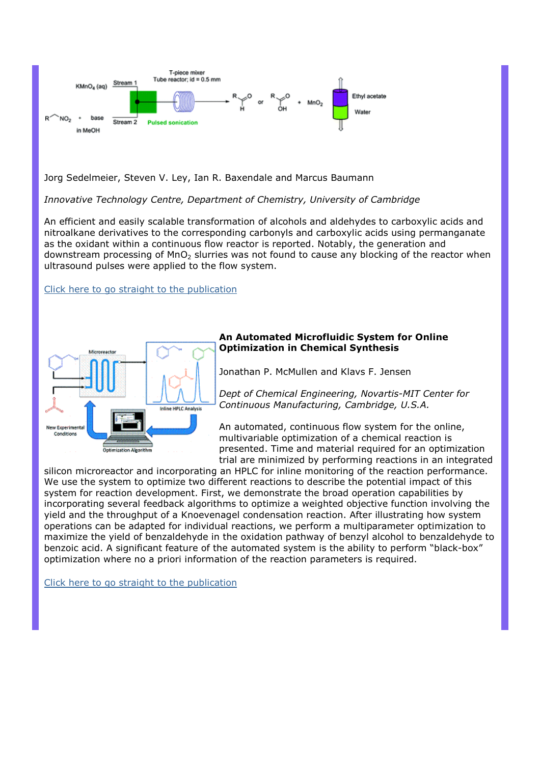

Jorg Sedelmeier, Steven V. Ley, Ian R. Baxendale and Marcus Baumann

Innovative Technology Centre, Department of Chemistry, University of Cambridge

An efficient and easily scalable transformation of alcohols and aldehydes to carboxylic acids and nitroalkane derivatives to the corresponding carbonyls and carboxylic acids using permanganate as the oxidant within a continuous flow reactor is reported. Notably, the generation and downstream processing of MnO<sub>2</sub> slurries was not found to cause any blocking of the reactor when ultrasound pulses were applied to the flow system.

Click here to go straight to the publication



# An Automated Microfluidic System for Online Optimization in Chemical Synthesis

Jonathan P. McMullen and Klavs F. Jensen

Dept of Chemical Engineering, Novartis-MIT Center for Continuous Manufacturing, Cambridge, U.S.A.

An automated, continuous flow system for the online, multivariable optimization of a chemical reaction is presented. Time and material required for an optimization trial are minimized by performing reactions in an integrated

silicon microreactor and incorporating an HPLC for inline monitoring of the reaction performance. We use the system to optimize two different reactions to describe the potential impact of this system for reaction development. First, we demonstrate the broad operation capabilities by incorporating several feedback algorithms to optimize a weighted objective function involving the yield and the throughput of a Knoevenagel condensation reaction. After illustrating how system operations can be adapted for individual reactions, we perform a multiparameter optimization to maximize the yield of benzaldehyde in the oxidation pathway of benzyl alcohol to benzaldehyde to benzoic acid. A significant feature of the automated system is the ability to perform "black-box" optimization where no a priori information of the reaction parameters is required.

Click here to go straight to the publication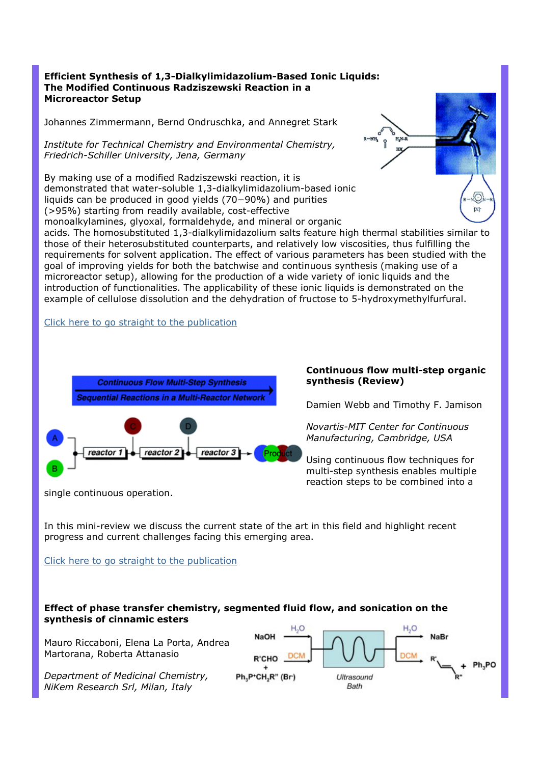## Efficient Synthesis of 1,3-Dialkylimidazolium-Based Ionic Liquids: The Modified Continuous Radziszewski Reaction in a Microreactor Setup

Johannes Zimmermann, Bernd Ondruschka, and Annegret Stark

Institute for Technical Chemistry and Environmental Chemistry, Friedrich-Schiller University, Jena, Germany

By making use of a modified Radziszewski reaction, it is demonstrated that water-soluble 1,3-dialkylimidazolium-based ionic liquids can be produced in good yields (70−90%) and purities (>95%) starting from readily available, cost-effective

monoalkylamines, glyoxal, formaldehyde, and mineral or organic



acids. The homosubstituted 1,3-dialkylimidazolium salts feature high thermal stabilities similar to those of their heterosubstituted counterparts, and relatively low viscosities, thus fulfilling the requirements for solvent application. The effect of various parameters has been studied with the goal of improving yields for both the batchwise and continuous synthesis (making use of a microreactor setup), allowing for the production of a wide variety of ionic liquids and the introduction of functionalities. The applicability of these ionic liquids is demonstrated on the example of cellulose dissolution and the dehydration of fructose to 5-hydroxymethylfurfural.

Click here to go straight to the publication



Continuous flow multi-step organic synthesis (Review)

Damien Webb and Timothy F. Jamison

Novartis-MIT Center for Continuous Manufacturing, Cambridge, USA

Using continuous flow techniques for multi-step synthesis enables multiple reaction steps to be combined into a

single continuous operation.

In this mini-review we discuss the current state of the art in this field and highlight recent progress and current challenges facing this emerging area.

Click here to go straight to the publication

## Effect of phase transfer chemistry, segmented fluid flow, and sonication on the synthesis of cinnamic esters

Mauro Riccaboni, Elena La Porta, Andrea Martorana, Roberta Attanasio

Department of Medicinal Chemistry, NiKem Research Srl, Milan, Italy